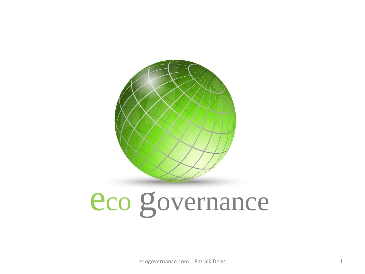

# eco governance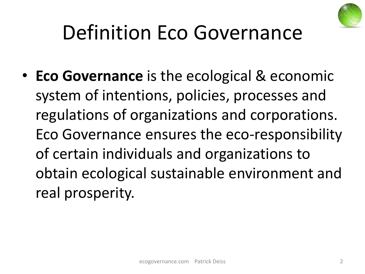

### Definition Eco Governance

• **Eco Governance** is the ecological & economic system of intentions, policies, processes and regulations of organizations and corporations. Eco Governance ensures the eco-responsibility of certain individuals and organizations to obtain ecological sustainable environment and real prosperity.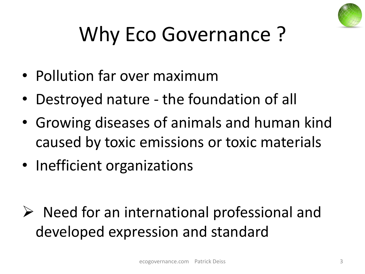

## Why Eco Governance ?

- Pollution far over maximum
- Destroyed nature the foundation of all
- Growing diseases of animals and human kind caused by toxic emissions or toxic materials
- Inefficient organizations

 $\triangleright$  Need for an international professional and developed expression and standard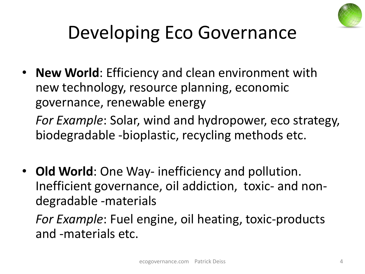

### Developing Eco Governance

• **New World**: Efficiency and clean environment with new technology, resource planning, economic governance, renewable energy

*For Example*: Solar, wind and hydropower, eco strategy, biodegradable -bioplastic, recycling methods etc.

• **Old World**: One Way- inefficiency and pollution. Inefficient governance, oil addiction, toxic- and nondegradable -materials

*For Example*: Fuel engine, oil heating, toxic-products and -materials etc.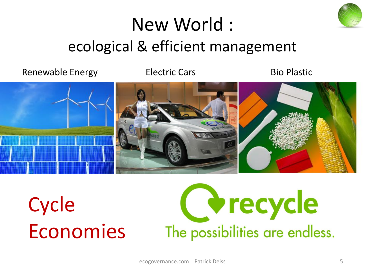

### New World : ecological & efficient management

Renewable Energy **Electric Cars** Bio Plastic



**Cycle** Economies

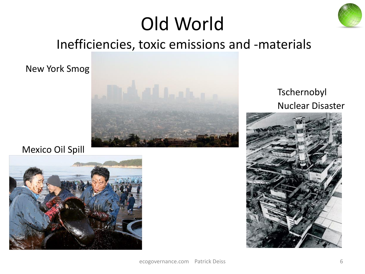

### Old World

#### Inefficiencies, toxic emissions and -materials

New York Smog



#### Tschernobyl Nuclear Disaster



#### Mexico Oil Spill

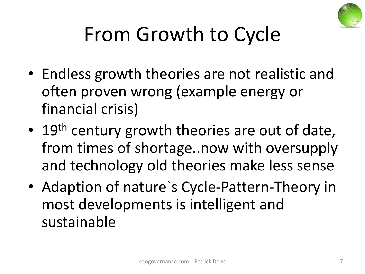

## From Growth to Cycle

- Endless growth theories are not realistic and often proven wrong (example energy or financial crisis)
- 19<sup>th</sup> century growth theories are out of date, from times of shortage..now with oversupply and technology old theories make less sense
- Adaption of nature`s Cycle-Pattern-Theory in most developments is intelligent and sustainable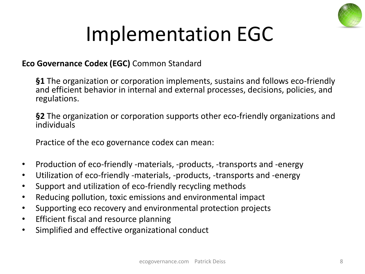

### Implementation EGC

#### **Eco Governance Codex (EGC)** Common Standard

**§1** The organization or corporation implements, sustains and follows eco-friendly and efficient behavior in internal and external processes, decisions, policies, and regulations.

**§2** The organization or corporation supports other eco-friendly organizations and individuals

Practice of the eco governance codex can mean:

- Production of eco-friendly -materials, -products, -transports and -energy
- Utilization of eco-friendly -materials, -products, -transports and -energy
- Support and utilization of eco-friendly recycling methods
- Reducing pollution, toxic emissions and environmental impact
- Supporting eco recovery and environmental protection projects
- Efficient fiscal and resource planning
- Simplified and effective organizational conduct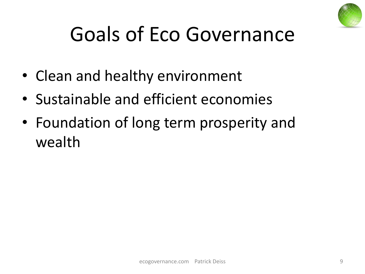

### Goals of Eco Governance

- Clean and healthy environment
- Sustainable and efficient economies
- Foundation of long term prosperity and wealth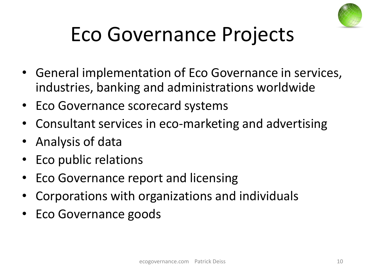

### Eco Governance Projects

- General implementation of Eco Governance in services, industries, banking and administrations worldwide
- Eco Governance scorecard systems
- Consultant services in eco-marketing and advertising
- Analysis of data
- Eco public relations
- Eco Governance report and licensing
- Corporations with organizations and individuals
- Eco Governance goods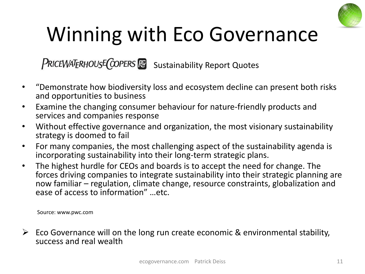

### Winning with Eco Governance

PRICEWATERHOUSE COPERS **Read Sustainability Report Quotes** 

- "Demonstrate how biodiversity loss and ecosystem decline can present both risks and opportunities to business
- Examine the changing consumer behaviour for nature-friendly products and services and companies response
- Without effective governance and organization, the most visionary sustainability strategy is doomed to fail
- For many companies, the most challenging aspect of the sustainability agenda is incorporating sustainability into their long-term strategic plans.
- The highest hurdle for CEOs and boards is to accept the need for change. The forces driving companies to integrate sustainability into their strategic planning are now familiar – regulation, climate change, resource constraints, globalization and ease of access to information" …etc.

Source: www.pwc.com

 $\triangleright$  Eco Governance will on the long run create economic & environmental stability, success and real wealth